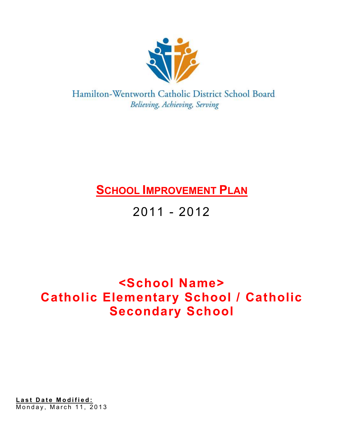

Hamilton-Wentworth Catholic District School Board Believing, Achieving, Serving

# **SCHOOL IMPROVEMENT PLAN**

# 2011 - 2012

# **<School Name> Catholic Elementary School / Catholic Secondary School**

<u>Last Date Modified:</u> Monday, March 11, 2013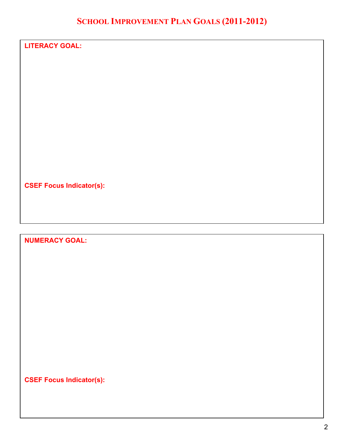## **SCHOOL IMPROVEMENT PLAN GOALS (2011-2012)**

| <b>LITERACY GOAL:</b>           |  |  |
|---------------------------------|--|--|
|                                 |  |  |
|                                 |  |  |
|                                 |  |  |
|                                 |  |  |
|                                 |  |  |
|                                 |  |  |
|                                 |  |  |
|                                 |  |  |
|                                 |  |  |
| <b>CSEF Focus Indicator(s):</b> |  |  |

## **NUMERACY GOAL:**

**CSEF Focus Indicator(s):**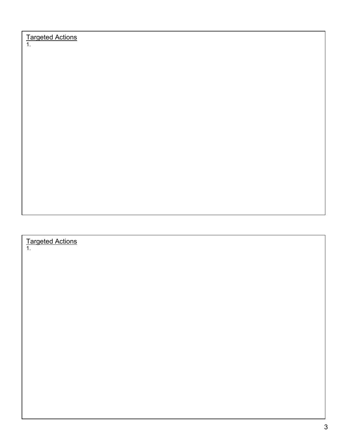Targeted Actions

1.

#### Targeted Actions

1.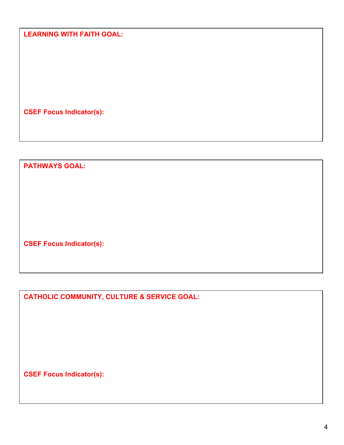**LEARNING WITH FAITH GOAL:** 

**CSEF Focus Indicator(s):** 

**PATHWAYS GOAL:** 

**CSEF Focus Indicator(s):** 

**CATHOLIC COMMUNITY, CULTURE & SERVICE GOAL:** 

**CSEF Focus Indicator(s):**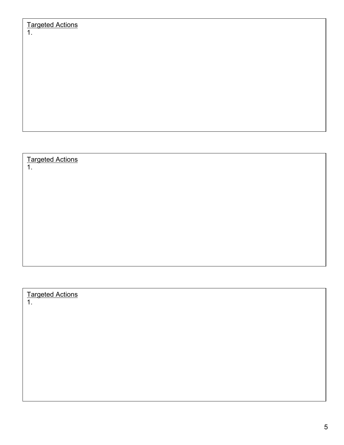## Targeted Actions

1.

## Targeted Actions

1.

### Targeted Actions

1.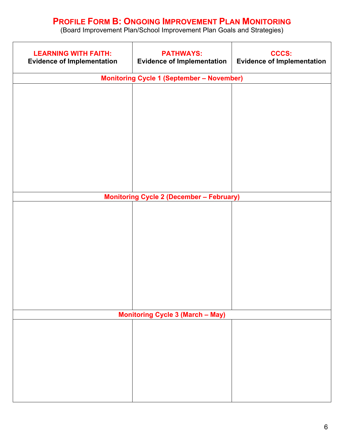## **PROFILE FORM B: ONGOING IMPROVEMENT PLAN MONITORING**

(Board Improvement Plan/School Improvement Plan Goals and Strategies)

| <b>LEARNING WITH FAITH:</b><br><b>Evidence of Implementation</b> | <b>PATHWAYS:</b><br><b>Evidence of Implementation</b> | <b>CCCS:</b><br><b>Evidence of Implementation</b> |  |  |
|------------------------------------------------------------------|-------------------------------------------------------|---------------------------------------------------|--|--|
| <b>Monitoring Cycle 1 (September - November)</b>                 |                                                       |                                                   |  |  |
|                                                                  |                                                       |                                                   |  |  |
|                                                                  |                                                       |                                                   |  |  |
|                                                                  |                                                       |                                                   |  |  |
|                                                                  |                                                       |                                                   |  |  |
|                                                                  |                                                       |                                                   |  |  |
|                                                                  |                                                       |                                                   |  |  |
|                                                                  |                                                       |                                                   |  |  |
|                                                                  |                                                       |                                                   |  |  |
|                                                                  |                                                       |                                                   |  |  |
|                                                                  |                                                       |                                                   |  |  |
| <b>Monitoring Cycle 2 (December - February)</b>                  |                                                       |                                                   |  |  |
|                                                                  |                                                       |                                                   |  |  |
|                                                                  |                                                       |                                                   |  |  |
|                                                                  |                                                       |                                                   |  |  |
|                                                                  |                                                       |                                                   |  |  |
|                                                                  |                                                       |                                                   |  |  |
|                                                                  |                                                       |                                                   |  |  |
|                                                                  |                                                       |                                                   |  |  |
|                                                                  |                                                       |                                                   |  |  |
|                                                                  |                                                       |                                                   |  |  |
|                                                                  |                                                       |                                                   |  |  |
| <b>Monitoring Cycle 3 (March - May)</b>                          |                                                       |                                                   |  |  |
|                                                                  |                                                       |                                                   |  |  |
|                                                                  |                                                       |                                                   |  |  |
|                                                                  |                                                       |                                                   |  |  |
|                                                                  |                                                       |                                                   |  |  |
|                                                                  |                                                       |                                                   |  |  |
|                                                                  |                                                       |                                                   |  |  |
|                                                                  |                                                       |                                                   |  |  |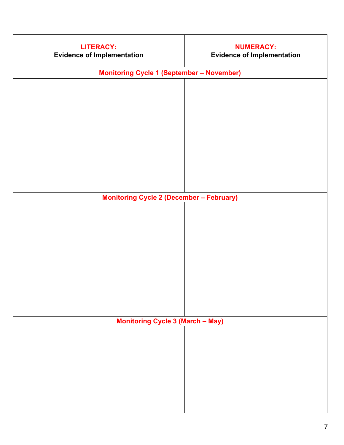| <b>LITERACY:</b><br><b>Evidence of Implementation</b> | <b>NUMERACY:</b><br><b>Evidence of Implementation</b> |  |  |  |
|-------------------------------------------------------|-------------------------------------------------------|--|--|--|
| <b>Monitoring Cycle 1 (September - November)</b>      |                                                       |  |  |  |
|                                                       |                                                       |  |  |  |
|                                                       |                                                       |  |  |  |
|                                                       |                                                       |  |  |  |
|                                                       |                                                       |  |  |  |
|                                                       |                                                       |  |  |  |
|                                                       |                                                       |  |  |  |
|                                                       |                                                       |  |  |  |
|                                                       |                                                       |  |  |  |
|                                                       |                                                       |  |  |  |
| <b>Monitoring Cycle 2 (December - February)</b>       |                                                       |  |  |  |
|                                                       |                                                       |  |  |  |
|                                                       |                                                       |  |  |  |
|                                                       |                                                       |  |  |  |
|                                                       |                                                       |  |  |  |
|                                                       |                                                       |  |  |  |
|                                                       |                                                       |  |  |  |
|                                                       |                                                       |  |  |  |
|                                                       |                                                       |  |  |  |
|                                                       |                                                       |  |  |  |
|                                                       |                                                       |  |  |  |
| <b>Monitoring Cycle 3 (March - May)</b>               |                                                       |  |  |  |
|                                                       |                                                       |  |  |  |
|                                                       |                                                       |  |  |  |
|                                                       |                                                       |  |  |  |
|                                                       |                                                       |  |  |  |
|                                                       |                                                       |  |  |  |
|                                                       |                                                       |  |  |  |
|                                                       |                                                       |  |  |  |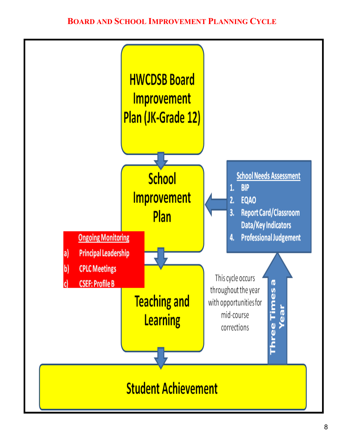## **BOARD AND SCHOOL IMPROVEMENT PLANNING CYCLE**

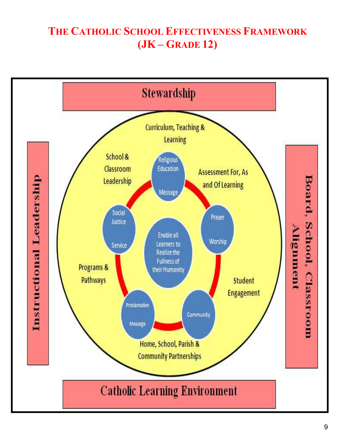## THE CATHOLIC SCHOOL EFFECTIVENESS FRAMEWORK  $(JK - GRAPH2)$

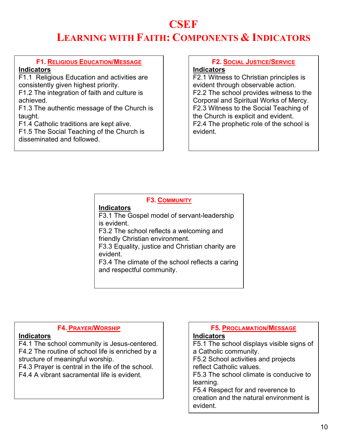# **CSEF**

# **LEARNING WITH FAITH: COMPONENTS & INDICATORS**

### **F1. RELIGIOUS EDUCATION/MESSAGE**

#### **Indicators**

F1.1 Religious Education and activities are consistently given highest priority.

F1.2 The integration of faith and culture is achieved.

F1.3 The authentic message of the Church is taught.

F1.4 Catholic traditions are kept alive.

F1.5 The Social Teaching of the Church is disseminated and followed.

### **F2. SOCIAL JUSTICE/SERVICE**

#### **Indicators**

F2.1 Witness to Christian principles is evident through observable action. F2.2 The school provides witness to the Corporal and Spiritual Works of Mercy. F2.3 Witness to the Social Teaching of the Church is explicit and evident. F2.4 The prophetic role of the school is evident.

#### **F3. COMMUNITY Indicators** F3.1 The Gospel model of servant-leadership is evident. F3.2 The school reflects a welcoming and friendly Christian environment. F3.3 Equality, justice and Christian charity are evident. F3.4 The climate of the school reflects a caring and respectful community.

#### **F4. PRAYER/WORSHIP**

#### **Indicators**

F4.1 The school community is Jesus-centered. F4.2 The routine of school life is enriched by a structure of meaningful worship.

F4.3 Prayer is central in the life of the school.

F4.4 A vibrant sacramental life is evident.

#### **F5. PROCLAMATION/MESSAGE**

#### **Indicators**

F5.1 The school displays visible signs of a Catholic community. F5.2 School activities and projects reflect Catholic values. F5.3 The school climate is conducive to learning. F5.4 Respect for and reverence to creation and the natural environment is evident.